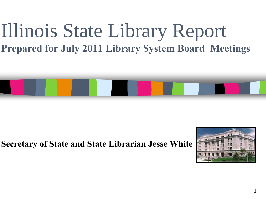### Illinois State Library Report **Prepared for July 2011 Library System Board Meetings**



**Secretary of State and State Librarian Jesse White**

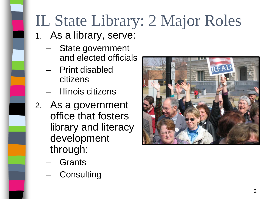# IL State Library: 2 Major Roles

- 1. As a library, serve:
	- State government and elected officials
	- Print disabled citizens
	- Illinois citizens
- 2. As a government office that fosters library and literacy development through:
	- Grants
	- **Consulting**

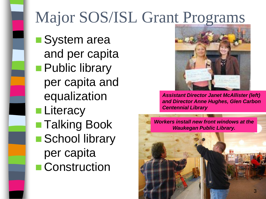### Major SOS/ISL Grant Programs

■System area and per capita **Public library** per capita and equalization **Literacy** ■ Talking Book ■ School library per capita ■ Construction



*Assistant Director Janet McAllister (left) and Director Anne Hughes, Glen Carbon Centennial Library*

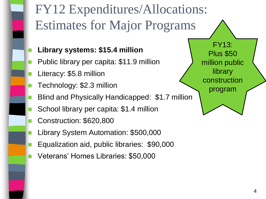### FY12 Expenditures/Allocations: Estimates for Major Programs

- **Library systems: \$15.4 million**
- Public library per capita: \$11.9 million
- Literacy: \$5.8 million
- Technology: \$2.3 million
- Blind and Physically Handicapped: \$1.7 million
- School library per capita: \$1.4 million
- Construction: \$620,800
- Library System Automation: \$500,000
- Equalization aid, public libraries: \$90,000
- Veterans' Homes Libraries: \$50,000

FY13: Plus \$50 million public library construction program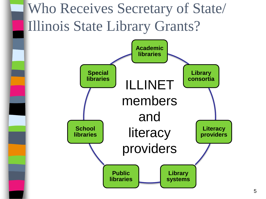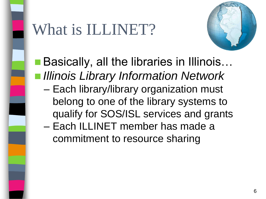

### What is ILLINET?



- Basically, all the libraries in Illinois... *Illinois Library Information Network*
	- Each library/library organization must belong to one of the library systems to qualify for SOS/ISL services and grants
	- Each ILLINET member has made a commitment to resource sharing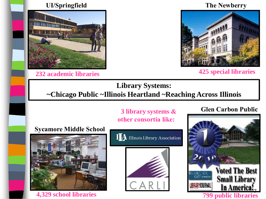#### **UI/Springfield**



**232 academic libraries**

#### **The Newberry**



**425 special libraries**

#### **Library Systems: ~Chicago Public ~Illinois Heartland ~Reaching Across Illinois**

**3 library systems & other consortia like:**

#### **Sycamore Middle School**







#### **Glen Carbon Public**

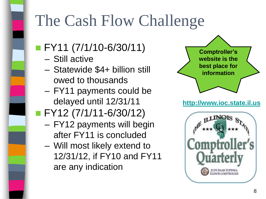## The Cash Flow Challenge

- **FY11 (7/1/10-6/30/11)** 
	- Still active
	- Statewide \$4+ billion still owed to thousands
	- FY11 payments could be delayed until 12/31/11
- **FY12 (7/1/11-6/30/12)** 
	- FY12 payments will begin after FY11 is concluded
	- Will most likely extend to 12/31/12, if FY10 and FY11 are any indication



#### **[http://www.ioc.state.il.us](http://www.ioc.state.il.us/)**

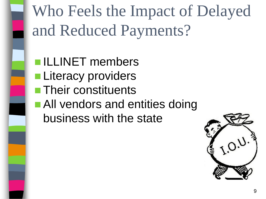

Who Feels the Impact of Delayed and Reduced Payments?

**ILLINET** members **Literacy providers Their constituents All vendors and entities doing** business with the state

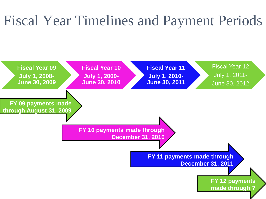### Fiscal Year Timelines and Payment Periods

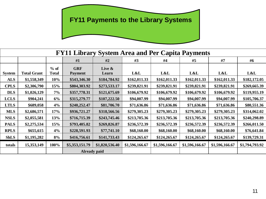### **FY11 Payments to the Library Systems**

| <b>FY11 Library System Area and Per Capita Payments</b> |                    |              |                     |                |                |                |                |                |                |
|---------------------------------------------------------|--------------------|--------------|---------------------|----------------|----------------|----------------|----------------|----------------|----------------|
|                                                         |                    |              | #1                  | #2             | #3             | #4             | #5             | #7             | #6             |
|                                                         |                    | $%$ of       | <b>GRF</b>          | Live &         |                |                |                |                |                |
| <b>System</b>                                           | <b>Total Grant</b> | <b>Total</b> | <b>Payment</b>      | Learn          | L&L            | L&L            | L&L            | L&L            | L&L            |
| <b>ALS</b>                                              | \$1,558,349        | 10%          | \$543,346.30        | \$184,784.92   | \$162,011.33   | \$162,011.33   | \$162,011.33   | \$162,011.33   | \$182,172.05   |
| <b>CPLS</b>                                             | \$2,306,790        | 15%          | \$804,303.92        | \$273,533.17   | \$239,821.91   | \$239,821.91   | \$239,821.91   | \$239,821.91   | \$269,665.39   |
| <b>DLS</b>                                              | \$1,026,129        | 7%           | \$357,778.31        | \$121,675.69   | \$106,679.92   | \$106,679.92   | \$106,679.92   | \$106,679.92   | \$119,955.19   |
| <b>LCLS</b>                                             | \$904,241          | 6%           | \$315,279.77        | \$107,222.50   | \$94,007.99    | \$94,007.99    | \$94,007.99    | \$94,007.99    | \$105,706.37   |
| <b>LTLS</b>                                             | \$689,058          | 4%           | \$240,252.47        | \$81,706.70    | \$71,636.86    | \$71,636.86    | \$71,636.86    | \$71,636.86    | \$80,551.36    |
| <b>MLS</b>                                              | \$2,686,571        | 17%          | \$936,721.27        | \$318,566.56   | \$279,305.23   | \$279,305.23   | \$279,305.23   | \$279,305.23   | \$314,062.02   |
| <b>NSLS</b>                                             | \$2,055,581        | 13%          | \$716,715.39        | \$243,745.46   | \$213,705.36   | \$213,705.36   | \$213,705.36   | \$213,705.36   | \$240,298.89   |
| <b>PALS</b>                                             | \$2,275,534        | 15%          | \$793,405.82        | \$269,826.87   | \$236,572.39   | \$236,572.39   | \$236,572.39   | \$236,572.39   | \$266,011.50   |
| <b>RPLS</b>                                             | \$655,615          | 4%           | \$228,591.93        | \$77,741.10    | \$68,160.00    | \$68,160.00    | \$68,160.00    | \$68,160.00    | \$76,641.84    |
| <b>ShLS</b>                                             | \$1,195,282        | 8%           | \$416,756.61        | \$141,733.43   | \$124,265.67   | \$124,265.67   | \$124,265.67   | \$124,265.67   | \$139,729.31   |
| totals                                                  | 15,353,149         | 100%         | \$5,353,151.79      | \$1,820,536.40 | \$1,596,166.67 | \$1,596,166.67 | \$1,596,166.67 | \$1,596,166.67 | \$1,794,793.92 |
|                                                         |                    |              | <b>Already paid</b> |                |                |                |                |                |                |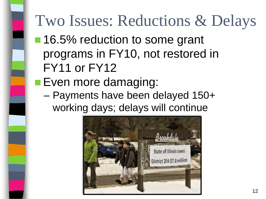# Two Issues: Reductions & Delays

- 16.5% reduction to some grant programs in FY10, not restored in FY11 or FY12
- **Even more damaging:** 
	- Payments have been delayed 150+ working days; delays will continue

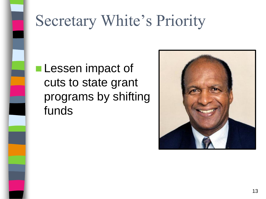

### Secretary White's Priority

### **Lessen impact of** cuts to state grant programs by shifting funds

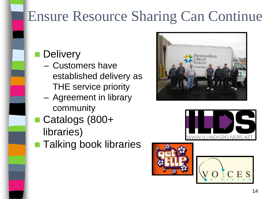### Ensure Resource Sharing Can Continue

- **Delivery** 
	- Customers have established delivery as THE service priority
	- Agreement in library community
- Catalogs (800+ libraries)
- **Talking book libraries**







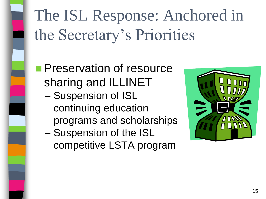The ISL Response: Anchored in the Secretary's Priorities

**Preservation of resource** sharing and ILLINET

- Suspension of ISL continuing education programs and scholarships
- Suspension of the ISL competitive LSTA program

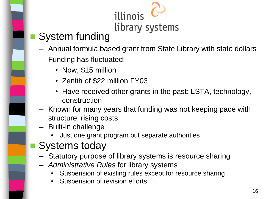### illinois library systems

### System funding

- Annual formula based grant from State Library with state dollars
- Funding has fluctuated:
	- Now, \$15 million
	- Zenith of \$22 million FY03
	- Have received other grants in the past: LSTA, technology, construction
- Known for many years that funding was not keeping pace with structure, rising costs
- Built-in challenge
	- Just one grant program but separate authorities

### Systems today

- Statutory purpose of library systems is resource sharing
- *Administrative Rules* for library systems
	- Suspension of existing rules except for resource sharing
	- Suspension of revision efforts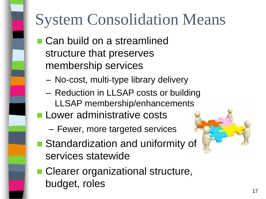# System Consolidation Means

- Can build on a streamlined structure that preserves membership services
	- No-cost, multi-type library delivery
	- Reduction in LLSAP costs or building LLSAP membership/enhancements
- **Lower administrative costs** 
	- Fewer, more targeted services
- Standardization and uniformity of services statewide
- Clearer organizational structure, budget, roles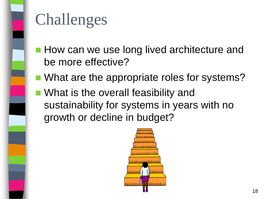

### Challenges

- **How can we use long lived architecture and** be more effective?
- What are the appropriate roles for systems?
- What is the overall feasibility and sustainability for systems in years with no growth or decline in budget?

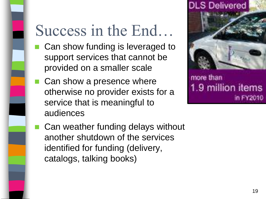### Success in the End…

- Can show funding is leveraged to support services that cannot be provided on a smaller scale
- Can show a presence where otherwise no provider exists for a service that is meaningful to audiences



more than 1.9 million items in FY2010

■ Can weather funding delays without another shutdown of the services identified for funding (delivery, catalogs, talking books)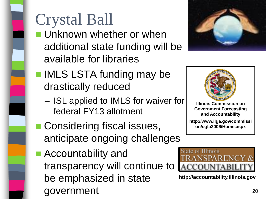# Crystal Ball

 Unknown whether or when additional state funding will be available for libraries



- **IMLS LSTA funding may be** drastically reduced
	- ISL applied to IMLS for waiver for federal FY13 allotment
- **Considering fiscal issues,** anticipate ongoing challenges
- Accountability and transparency will continue to be emphasized in state government and the contract of the contract of the contract of the contract of the contract of the contract of the contract of the contract of the contract of the contract of the contract of the contract of the contract of



**Illinois Commission on Government Forecasting and Accountability**

**http://www.ilga.gov/commissi on/cgfa2006/Home.aspx**



**http://accountability.illinois.gov**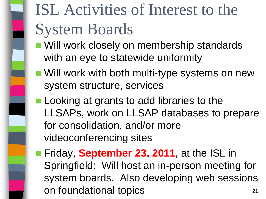# ISL Activities of Interest to the System Boards

- Will work closely on membership standards with an eye to statewide uniformity
- **Nill work with both multi-type systems on new** system structure, services
- **Looking at grants to add libraries to the** LLSAPs, work on LLSAP databases to prepare for consolidation, and/or more videoconferencing sites
- **Fiday, September 23, 2011**, at the ISL in Springfield: Will host an in-person meeting for system boards. Also developing web sessions on foundational topics **21**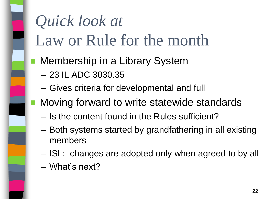# *Quick look at* Law or Rule for the month

- **Nembership in a Library System** 
	- 23 IL ADC 3030.35
	- Gives criteria for developmental and full
	- Moving forward to write statewide standards
		- Is the content found in the Rules sufficient?
		- Both systems started by grandfathering in all existing members
		- ISL: changes are adopted only when agreed to by all
		- What's next?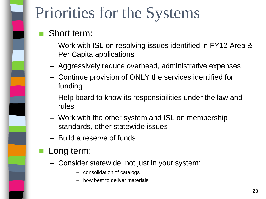## Priorities for the Systems

### Short term:

- Work with ISL on resolving issues identified in FY12 Area & Per Capita applications
- Aggressively reduce overhead, administrative expenses
- Continue provision of ONLY the services identified for funding
- Help board to know its responsibilities under the law and rules
- Work with the other system and ISL on membership standards, other statewide issues
- Build a reserve of funds
- Long term:
	- Consider statewide, not just in your system:
		- consolidation of catalogs
		- how best to deliver materials